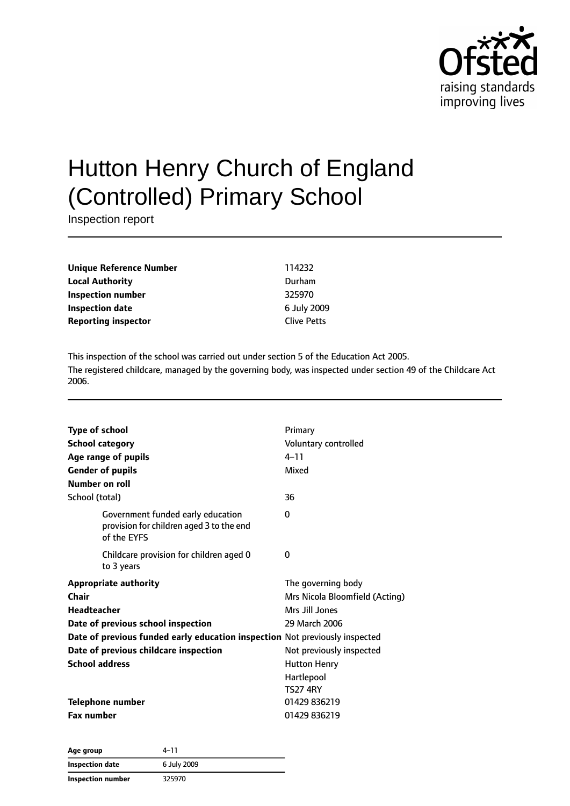

# Hutton Henry Church of England (Controlled) Primary School

Inspection report

**Unique Reference Number** 114232 **Local Authority** Durham **Inspection number** 325970 **Inspection date** 6 July 2009 **Reporting inspector** Clive Petts

This inspection of the school was carried out under section 5 of the Education Act 2005. The registered childcare, managed by the governing body, was inspected under section 49 of the Childcare Act 2006.

| <b>Type of school</b><br><b>School category</b><br>Age range of pupils<br><b>Gender of pupils</b><br>Number on roll | Primary<br>Voluntary controlled<br>$4 - 11$<br>Mixed |
|---------------------------------------------------------------------------------------------------------------------|------------------------------------------------------|
| School (total)                                                                                                      | 36                                                   |
| Government funded early education<br>provision for children aged 3 to the end<br>of the FYFS                        | 0                                                    |
| Childcare provision for children aged 0<br>to 3 years                                                               | 0                                                    |
| <b>Appropriate authority</b>                                                                                        | The governing body                                   |
| Chair                                                                                                               | Mrs Nicola Bloomfield (Acting)                       |
| <b>Headteacher</b>                                                                                                  | Mrs Jill Jones                                       |
| Date of previous school inspection                                                                                  | 29 March 2006                                        |
| Date of previous funded early education inspection Not previously inspected                                         |                                                      |
| Date of previous childcare inspection                                                                               | Not previously inspected                             |
| <b>School address</b>                                                                                               | <b>Hutton Henry</b>                                  |
|                                                                                                                     | Hartlepool<br><b>TS27 4RY</b>                        |
| <b>Telephone number</b>                                                                                             | 01429 836219                                         |
| <b>Fax number</b>                                                                                                   | 01429 836219                                         |

**Age group** 4–11 **Inspection date** 6 July 2009 **Inspection number** 325970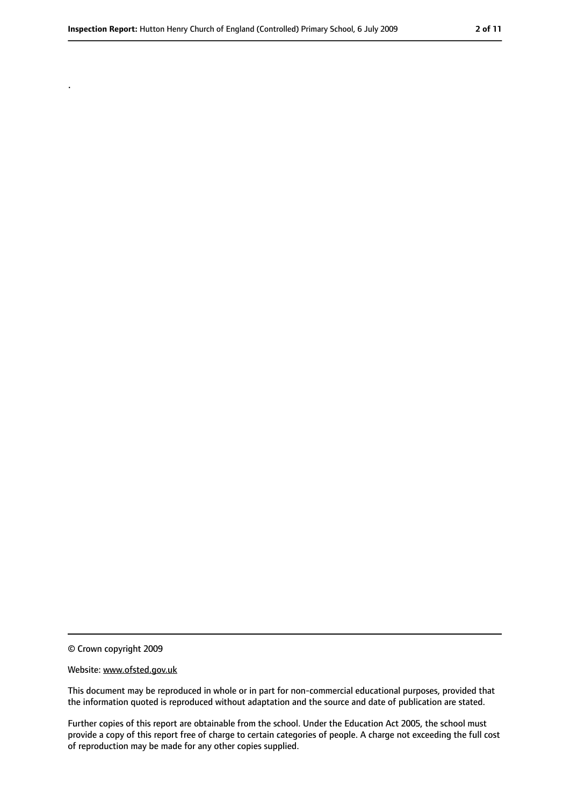© Crown copyright 2009

.

#### Website: www.ofsted.gov.uk

This document may be reproduced in whole or in part for non-commercial educational purposes, provided that the information quoted is reproduced without adaptation and the source and date of publication are stated.

Further copies of this report are obtainable from the school. Under the Education Act 2005, the school must provide a copy of this report free of charge to certain categories of people. A charge not exceeding the full cost of reproduction may be made for any other copies supplied.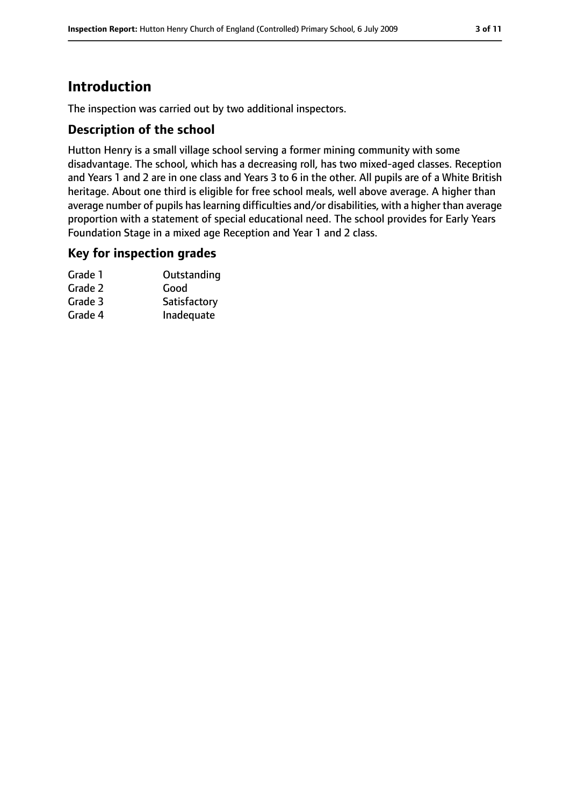# **Introduction**

The inspection was carried out by two additional inspectors.

#### **Description of the school**

Hutton Henry is a small village school serving a former mining community with some disadvantage. The school, which has a decreasing roll, has two mixed-aged classes. Reception and Years 1 and 2 are in one class and Years 3 to 6 in the other. All pupils are of a White British heritage. About one third is eligible for free school meals, well above average. A higher than average number of pupils has learning difficulties and/or disabilities, with a higher than average proportion with a statement of special educational need. The school provides for Early Years Foundation Stage in a mixed age Reception and Year 1 and 2 class.

## **Key for inspection grades**

| Grade 1 | Outstanding  |
|---------|--------------|
| Grade 2 | Good         |
| Grade 3 | Satisfactory |
| Grade 4 | Inadequate   |
|         |              |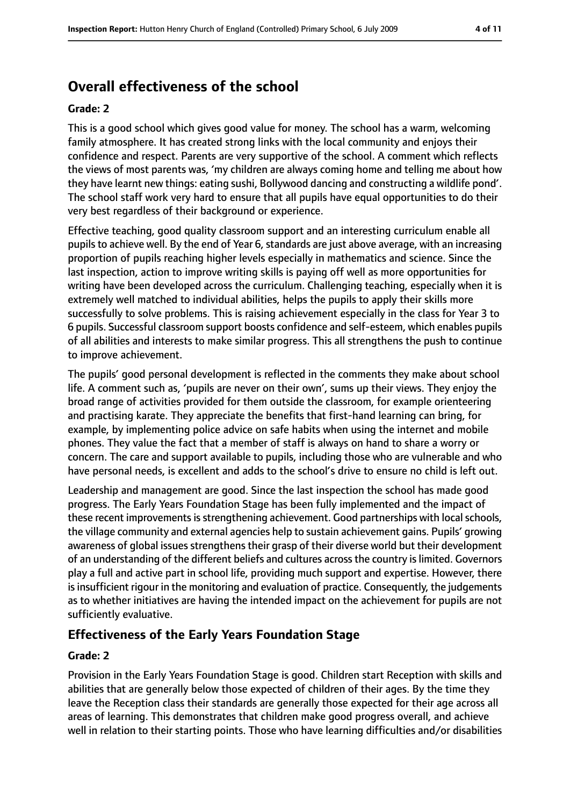# **Overall effectiveness of the school**

#### **Grade: 2**

This is a good school which gives good value for money. The school has a warm, welcoming family atmosphere. It has created strong links with the local community and enjoys their confidence and respect. Parents are very supportive of the school. A comment which reflects the views of most parents was, 'my children are always coming home and telling me about how they have learnt new things: eating sushi, Bollywood dancing and constructing a wildlife pond'. The school staff work very hard to ensure that all pupils have equal opportunities to do their very best regardless of their background or experience.

Effective teaching, good quality classroom support and an interesting curriculum enable all pupils to achieve well. By the end of Year 6, standards are just above average, with an increasing proportion of pupils reaching higher levels especially in mathematics and science. Since the last inspection, action to improve writing skills is paying off well as more opportunities for writing have been developed across the curriculum. Challenging teaching, especially when it is extremely well matched to individual abilities, helps the pupils to apply their skills more successfully to solve problems. This is raising achievement especially in the class for Year 3 to 6 pupils. Successful classroom support boosts confidence and self-esteem, which enables pupils of all abilities and interests to make similar progress. This all strengthens the push to continue to improve achievement.

The pupils' good personal development is reflected in the comments they make about school life. A comment such as, 'pupils are never on their own', sums up their views. They enjoy the broad range of activities provided for them outside the classroom, for example orienteering and practising karate. They appreciate the benefits that first-hand learning can bring, for example, by implementing police advice on safe habits when using the internet and mobile phones. They value the fact that a member of staff is always on hand to share a worry or concern. The care and support available to pupils, including those who are vulnerable and who have personal needs, is excellent and adds to the school's drive to ensure no child is left out.

Leadership and management are good. Since the last inspection the school has made good progress. The Early Years Foundation Stage has been fully implemented and the impact of these recent improvements is strengthening achievement. Good partnerships with local schools, the village community and external agencies help to sustain achievement gains. Pupils' growing awareness of global issues strengthens their grasp of their diverse world but their development of an understanding of the different beliefs and cultures acrossthe country islimited. Governors play a full and active part in school life, providing much support and expertise. However, there is insufficient rigour in the monitoring and evaluation of practice. Consequently, the judgements as to whether initiatives are having the intended impact on the achievement for pupils are not sufficiently evaluative.

#### **Effectiveness of the Early Years Foundation Stage**

#### **Grade: 2**

Provision in the Early Years Foundation Stage is good. Children start Reception with skills and abilities that are generally below those expected of children of their ages. By the time they leave the Reception class their standards are generally those expected for their age across all areas of learning. This demonstrates that children make good progress overall, and achieve well in relation to their starting points. Those who have learning difficulties and/or disabilities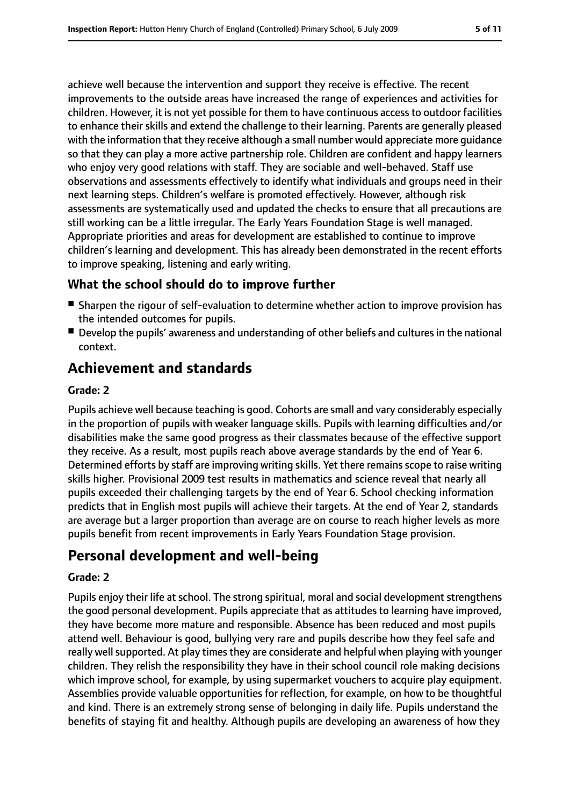achieve well because the intervention and support they receive is effective. The recent improvements to the outside areas have increased the range of experiences and activities for children. However, it is not yet possible for them to have continuous access to outdoor facilities to enhance their skills and extend the challenge to their learning. Parents are generally pleased with the information that they receive although a small number would appreciate more guidance so that they can play a more active partnership role. Children are confident and happy learners who enjoy very good relations with staff. They are sociable and well-behaved. Staff use observations and assessments effectively to identify what individuals and groups need in their next learning steps. Children's welfare is promoted effectively. However, although risk assessments are systematically used and updated the checks to ensure that all precautions are still working can be a little irregular. The Early Years Foundation Stage is well managed. Appropriate priorities and areas for development are established to continue to improve children's learning and development. This has already been demonstrated in the recent efforts to improve speaking, listening and early writing.

## **What the school should do to improve further**

- Sharpen the rigour of self-evaluation to determine whether action to improve provision has the intended outcomes for pupils.
- Develop the pupils' awareness and understanding of other beliefs and cultures in the national context.

# **Achievement and standards**

#### **Grade: 2**

Pupils achieve well because teaching is good. Cohorts are small and vary considerably especially in the proportion of pupils with weaker language skills. Pupils with learning difficulties and/or disabilities make the same good progress as their classmates because of the effective support they receive. As a result, most pupils reach above average standards by the end of Year 6. Determined efforts by staff are improving writing skills. Yet there remains scope to raise writing skills higher. Provisional 2009 test results in mathematics and science reveal that nearly all pupils exceeded their challenging targets by the end of Year 6. School checking information predicts that in English most pupils will achieve their targets. At the end of Year 2, standards are average but a larger proportion than average are on course to reach higher levels as more pupils benefit from recent improvements in Early Years Foundation Stage provision.

# **Personal development and well-being**

#### **Grade: 2**

Pupils enjoy their life at school. The strong spiritual, moral and social development strengthens the good personal development. Pupils appreciate that as attitudes to learning have improved, they have become more mature and responsible. Absence has been reduced and most pupils attend well. Behaviour is good, bullying very rare and pupils describe how they feel safe and really well supported. At play times they are considerate and helpful when playing with younger children. They relish the responsibility they have in their school council role making decisions which improve school, for example, by using supermarket vouchers to acquire play equipment. Assemblies provide valuable opportunities for reflection, for example, on how to be thoughtful and kind. There is an extremely strong sense of belonging in daily life. Pupils understand the benefits of staying fit and healthy. Although pupils are developing an awareness of how they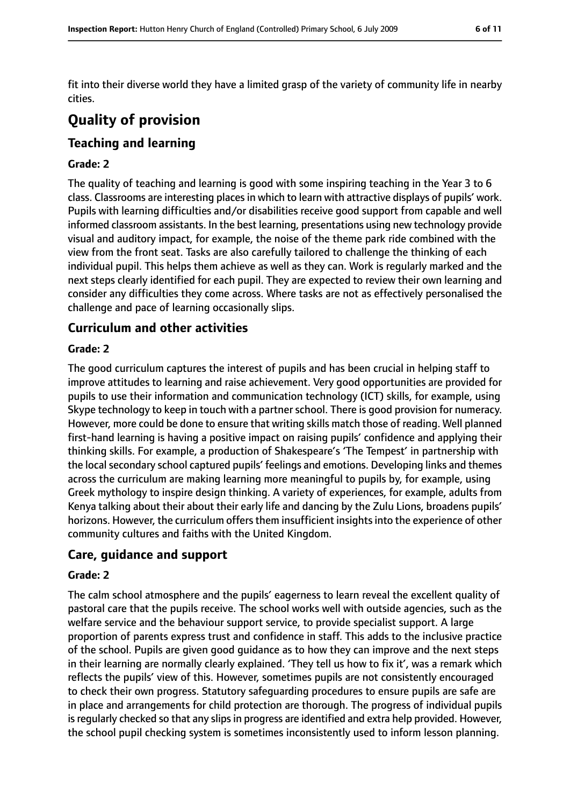fit into their diverse world they have a limited grasp of the variety of community life in nearby cities.

# **Quality of provision**

## **Teaching and learning**

#### **Grade: 2**

The quality of teaching and learning is good with some inspiring teaching in the Year 3 to 6 class. Classrooms are interesting places in which to learn with attractive displays of pupils' work. Pupils with learning difficulties and/or disabilities receive good support from capable and well informed classroom assistants. In the best learning, presentations using new technology provide visual and auditory impact, for example, the noise of the theme park ride combined with the view from the front seat. Tasks are also carefully tailored to challenge the thinking of each individual pupil. This helps them achieve as well as they can. Work is regularly marked and the next steps clearly identified for each pupil. They are expected to review their own learning and consider any difficulties they come across. Where tasks are not as effectively personalised the challenge and pace of learning occasionally slips.

#### **Curriculum and other activities**

#### **Grade: 2**

The good curriculum captures the interest of pupils and has been crucial in helping staff to improve attitudes to learning and raise achievement. Very good opportunities are provided for pupils to use their information and communication technology (ICT) skills, for example, using Skype technology to keep in touch with a partner school. There is good provision for numeracy. However, more could be done to ensure that writing skills match those of reading. Well planned first-hand learning is having a positive impact on raising pupils' confidence and applying their thinking skills. For example, a production of Shakespeare's 'The Tempest' in partnership with the local secondary school captured pupils' feelings and emotions. Developing links and themes across the curriculum are making learning more meaningful to pupils by, for example, using Greek mythology to inspire design thinking. A variety of experiences, for example, adults from Kenya talking about their about their early life and dancing by the Zulu Lions, broadens pupils' horizons. However, the curriculum offers them insufficient insights into the experience of other community cultures and faiths with the United Kingdom.

#### **Care, guidance and support**

#### **Grade: 2**

The calm school atmosphere and the pupils' eagerness to learn reveal the excellent quality of pastoral care that the pupils receive. The school works well with outside agencies, such as the welfare service and the behaviour support service, to provide specialist support. A large proportion of parents express trust and confidence in staff. This adds to the inclusive practice of the school. Pupils are given good guidance as to how they can improve and the next steps in their learning are normally clearly explained. 'They tell us how to fix it', was a remark which reflects the pupils' view of this. However, sometimes pupils are not consistently encouraged to check their own progress. Statutory safeguarding procedures to ensure pupils are safe are in place and arrangements for child protection are thorough. The progress of individual pupils is regularly checked so that any slips in progress are identified and extra help provided. However, the school pupil checking system is sometimes inconsistently used to inform lesson planning.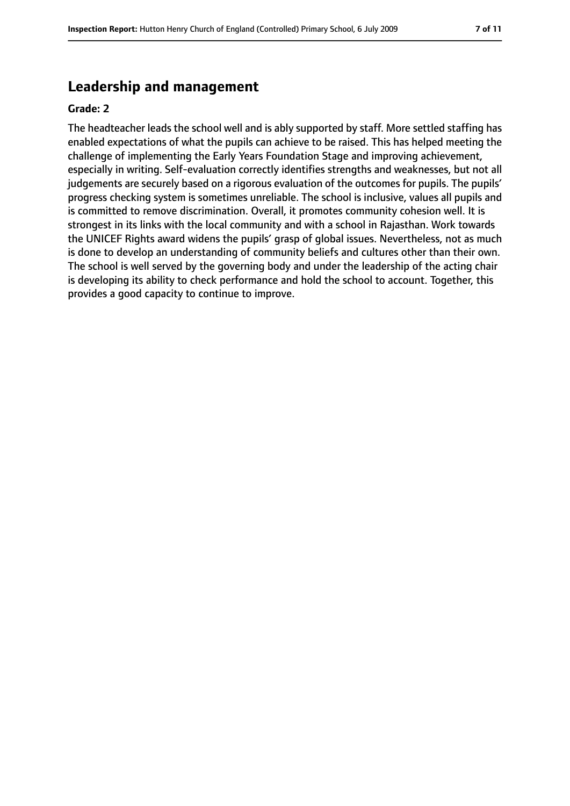# **Leadership and management**

#### **Grade: 2**

The headteacher leads the school well and is ably supported by staff. More settled staffing has enabled expectations of what the pupils can achieve to be raised. This has helped meeting the challenge of implementing the Early Years Foundation Stage and improving achievement, especially in writing. Self-evaluation correctly identifies strengths and weaknesses, but not all judgements are securely based on a rigorous evaluation of the outcomes for pupils. The pupils' progress checking system is sometimes unreliable. The school is inclusive, values all pupils and is committed to remove discrimination. Overall, it promotes community cohesion well. It is strongest in its links with the local community and with a school in Rajasthan. Work towards the UNICEF Rights award widens the pupils' grasp of global issues. Nevertheless, not as much is done to develop an understanding of community beliefs and cultures other than their own. The school is well served by the governing body and under the leadership of the acting chair is developing its ability to check performance and hold the school to account. Together, this provides a good capacity to continue to improve.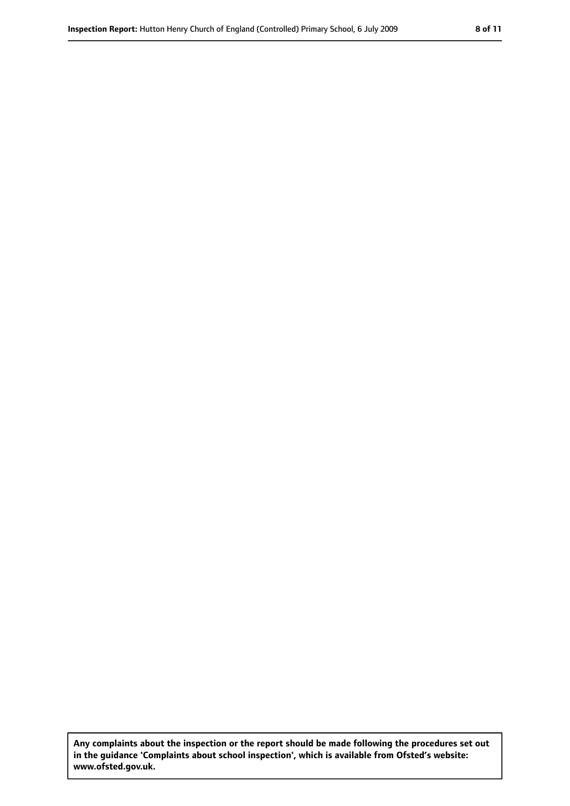**Any complaints about the inspection or the report should be made following the procedures set out in the guidance 'Complaints about school inspection', which is available from Ofsted's website: www.ofsted.gov.uk.**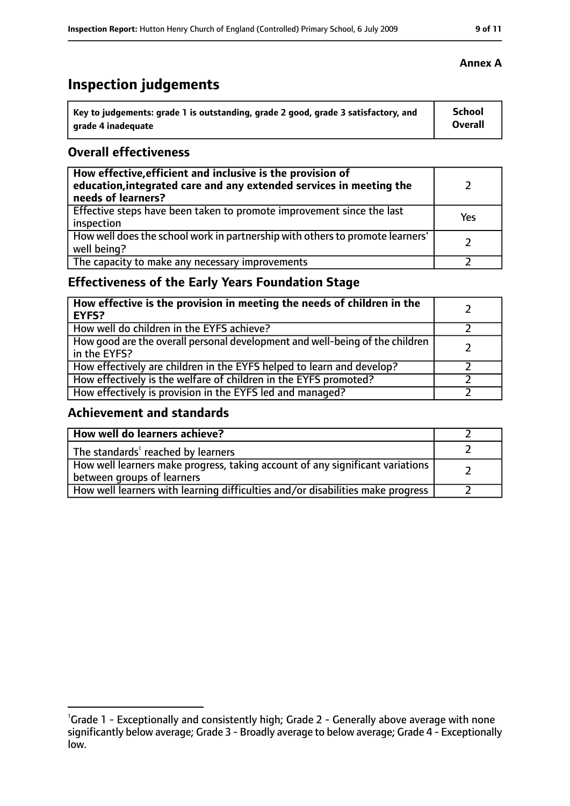# **Inspection judgements**

| key to judgements: grade 1 is outstanding, grade 2 good, grade 3 satisfactory, and ا | School         |
|--------------------------------------------------------------------------------------|----------------|
| arade 4 inadequate                                                                   | <b>Overall</b> |

### **Overall effectiveness**

| How effective, efficient and inclusive is the provision of<br>education, integrated care and any extended services in meeting the<br>needs of learners? |     |
|---------------------------------------------------------------------------------------------------------------------------------------------------------|-----|
| Effective steps have been taken to promote improvement since the last<br>inspection                                                                     | Yes |
| How well does the school work in partnership with others to promote learners'<br>well being?                                                            |     |
| The capacity to make any necessary improvements                                                                                                         |     |

## **Effectiveness of the Early Years Foundation Stage**

| How effective is the provision in meeting the needs of children in the<br>l EYFS?            |  |
|----------------------------------------------------------------------------------------------|--|
| How well do children in the EYFS achieve?                                                    |  |
| How good are the overall personal development and well-being of the children<br>in the EYFS? |  |
| How effectively are children in the EYFS helped to learn and develop?                        |  |
| How effectively is the welfare of children in the EYFS promoted?                             |  |
| How effectively is provision in the EYFS led and managed?                                    |  |

## **Achievement and standards**

| How well do learners achieve?                                                                                 |  |
|---------------------------------------------------------------------------------------------------------------|--|
| The standards <sup>1</sup> reached by learners                                                                |  |
| How well learners make progress, taking account of any significant variations  <br>between groups of learners |  |
| How well learners with learning difficulties and/or disabilities make progress                                |  |

#### **Annex A**

<sup>&</sup>lt;sup>1</sup>Grade 1 - Exceptionally and consistently high; Grade 2 - Generally above average with none significantly below average; Grade 3 - Broadly average to below average; Grade 4 - Exceptionally low.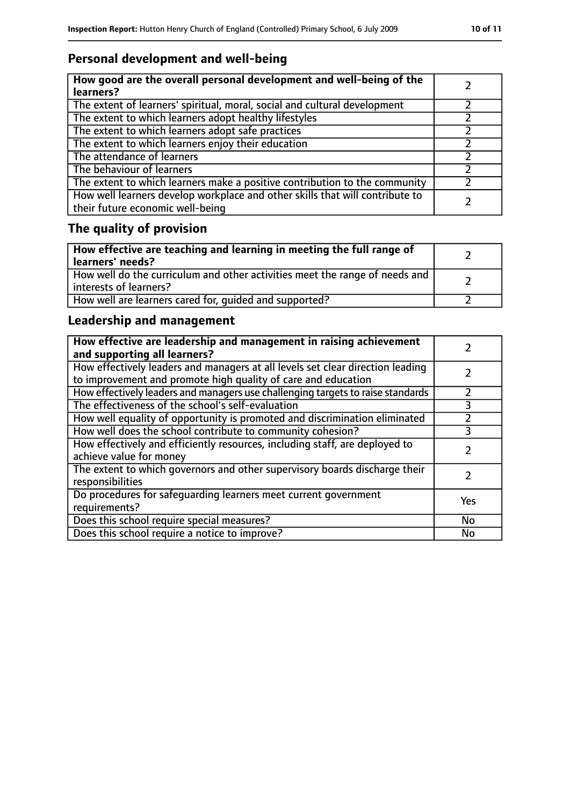## **Personal development and well-being**

| How good are the overall personal development and well-being of the<br>learners?                                 |  |
|------------------------------------------------------------------------------------------------------------------|--|
| The extent of learners' spiritual, moral, social and cultural development                                        |  |
| The extent to which learners adopt healthy lifestyles                                                            |  |
| The extent to which learners adopt safe practices                                                                |  |
| The extent to which learners enjoy their education                                                               |  |
| The attendance of learners                                                                                       |  |
| The behaviour of learners                                                                                        |  |
| The extent to which learners make a positive contribution to the community                                       |  |
| How well learners develop workplace and other skills that will contribute to<br>their future economic well-being |  |

# **The quality of provision**

| How effective are teaching and learning in meeting the full range of<br>learners' needs?              |  |
|-------------------------------------------------------------------------------------------------------|--|
| How well do the curriculum and other activities meet the range of needs and<br>interests of learners? |  |
| How well are learners cared for, quided and supported?                                                |  |

## **Leadership and management**

| How effective are leadership and management in raising achievement<br>and supporting all learners?                                              |     |
|-------------------------------------------------------------------------------------------------------------------------------------------------|-----|
| How effectively leaders and managers at all levels set clear direction leading<br>to improvement and promote high quality of care and education |     |
| How effectively leaders and managers use challenging targets to raise standards                                                                 |     |
| The effectiveness of the school's self-evaluation                                                                                               | 3   |
| How well equality of opportunity is promoted and discrimination eliminated                                                                      |     |
| How well does the school contribute to community cohesion?                                                                                      | 3   |
| How effectively and efficiently resources, including staff, are deployed to<br>achieve value for money                                          |     |
| The extent to which governors and other supervisory boards discharge their<br>responsibilities                                                  |     |
| Do procedures for safequarding learners meet current government<br>requirements?                                                                | Yes |
| Does this school require special measures?                                                                                                      | No  |
| Does this school require a notice to improve?                                                                                                   | No  |